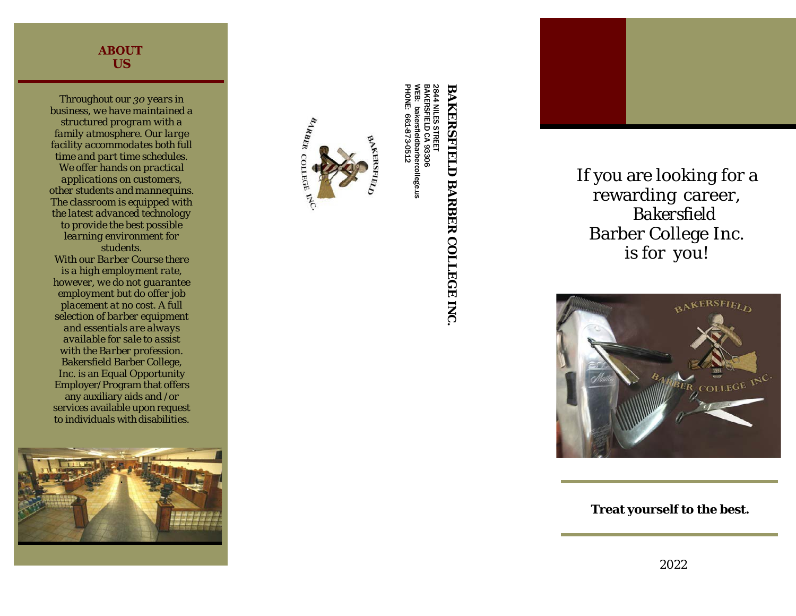## **ABOUT US**

*Throughout our 30 years in business, w e have maintained a structured program with a family atmosphere. Our large facility accommodates both full time and part time schedules. We offer hands on practical applications on customers, other students and mannequins. The classroom is equipped with the latest advanced technology to provide the best possible learning environment for students. With our Barber Course there is a high employment rate, however, w e d o not guarantee employment but do offer job placement a t no cost. A full selection of barber equipment and essentials are always available for sale to assist with the Barber profession.* Bakersfield Barber College, Inc. is an Equal Opportunity Employer/Program that offers any auxiliary aids and /or services available upon request to individuals with disabilities.





NILES STREET ይ 93306 bakersfieldbarbercollege.us bakersfieldbarbercollege.us<br>:: 661-873-0512 661-873-0512

## **BAKERSFIELD BARBER COLLEGE BAKERSFIELD BARBER COLLEGE INC.**

2844 BAKERSFIELD WEB.

If you are looking for a rewarding career, *Bakersfield* Barber College Inc. is for you!



**Treat yourself to the best.**

2022